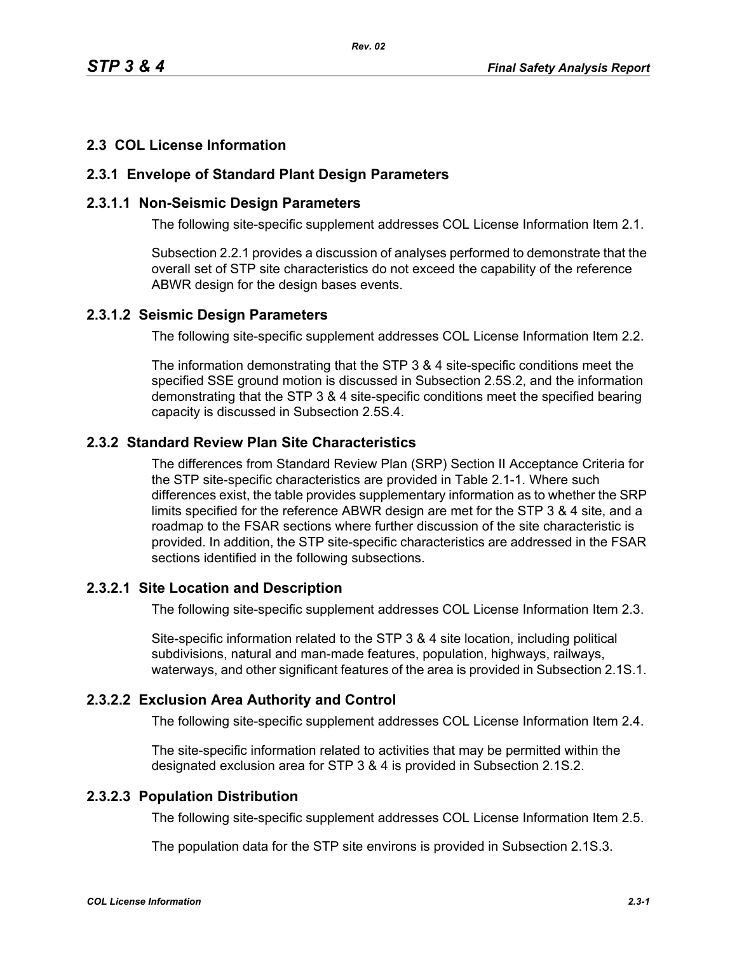*Rev. 02*

## **2.3 COL License Information**

### **2.3.1 Envelope of Standard Plant Design Parameters**

### **2.3.1.1 Non-Seismic Design Parameters**

The following site-specific supplement addresses COL License Information Item 2.1.

Subsection 2.2.1 provides a discussion of analyses performed to demonstrate that the overall set of STP site characteristics do not exceed the capability of the reference ABWR design for the design bases events.

#### **2.3.1.2 Seismic Design Parameters**

The following site-specific supplement addresses COL License Information Item 2.2.

The information demonstrating that the STP 3 & 4 site-specific conditions meet the specified SSE ground motion is discussed in Subsection 2.5S.2, and the information demonstrating that the STP 3 & 4 site-specific conditions meet the specified bearing capacity is discussed in Subsection 2.5S.4.

# **2.3.2 Standard Review Plan Site Characteristics**

The differences from Standard Review Plan (SRP) Section II Acceptance Criteria for the STP site-specific characteristics are provided in Table 2.1-1. Where such differences exist, the table provides supplementary information as to whether the SRP limits specified for the reference ABWR design are met for the STP 3 & 4 site, and a roadmap to the FSAR sections where further discussion of the site characteristic is provided. In addition, the STP site-specific characteristics are addressed in the FSAR sections identified in the following subsections.

## **2.3.2.1 Site Location and Description**

The following site-specific supplement addresses COL License Information Item 2.3.

Site-specific information related to the STP 3 & 4 site location, including political subdivisions, natural and man-made features, population, highways, railways, waterways, and other significant features of the area is provided in Subsection 2.1S.1.

## **2.3.2.2 Exclusion Area Authority and Control**

The following site-specific supplement addresses COL License Information Item 2.4.

The site-specific information related to activities that may be permitted within the designated exclusion area for STP 3 & 4 is provided in Subsection 2.1S.2.

# **2.3.2.3 Population Distribution**

The following site-specific supplement addresses COL License Information Item 2.5.

The population data for the STP site environs is provided in Subsection 2.1S.3.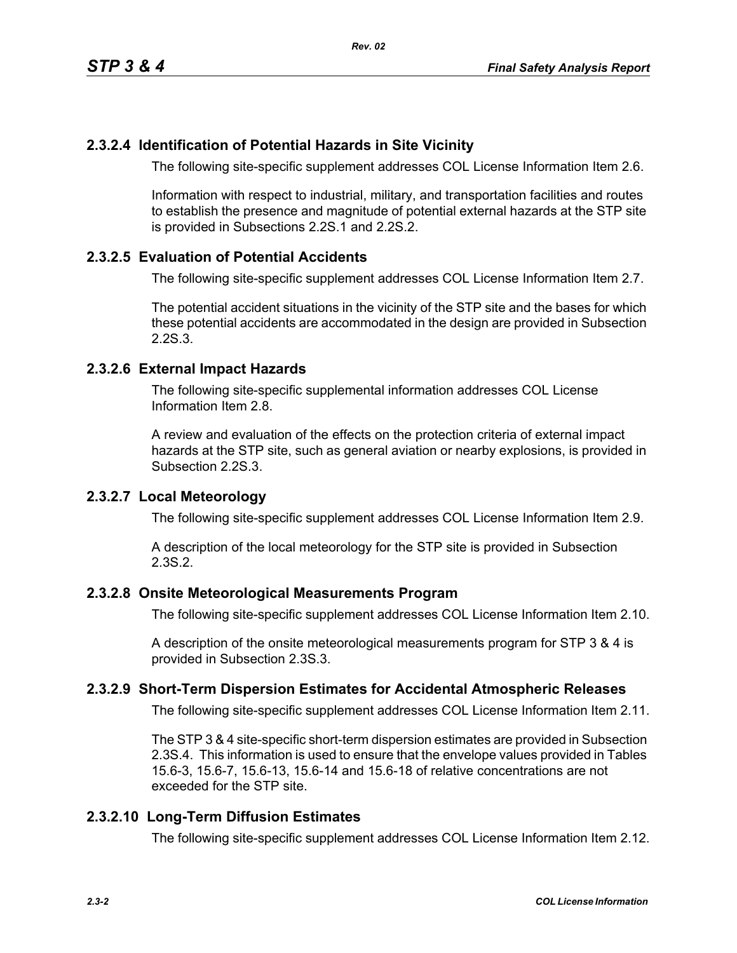## **2.3.2.4 Identification of Potential Hazards in Site Vicinity**

The following site-specific supplement addresses COL License Information Item 2.6.

Information with respect to industrial, military, and transportation facilities and routes to establish the presence and magnitude of potential external hazards at the STP site is provided in Subsections 2.2S.1 and 2.2S.2.

### **2.3.2.5 Evaluation of Potential Accidents**

The following site-specific supplement addresses COL License Information Item 2.7.

The potential accident situations in the vicinity of the STP site and the bases for which these potential accidents are accommodated in the design are provided in Subsection 2.2S.3.

### **2.3.2.6 External Impact Hazards**

The following site-specific supplemental information addresses COL License Information Item 2.8.

A review and evaluation of the effects on the protection criteria of external impact hazards at the STP site, such as general aviation or nearby explosions, is provided in Subsection 2.2S.3.

### **2.3.2.7 Local Meteorology**

The following site-specific supplement addresses COL License Information Item 2.9.

A description of the local meteorology for the STP site is provided in Subsection 2.3S.2.

#### **2.3.2.8 Onsite Meteorological Measurements Program**

The following site-specific supplement addresses COL License Information Item 2.10.

A description of the onsite meteorological measurements program for STP 3 & 4 is provided in Subsection 2.3S.3.

## **2.3.2.9 Short-Term Dispersion Estimates for Accidental Atmospheric Releases**

The following site-specific supplement addresses COL License Information Item 2.11.

The STP 3 & 4 site-specific short-term dispersion estimates are provided in Subsection 2.3S.4. This information is used to ensure that the envelope values provided in Tables 15.6-3, 15.6-7, 15.6-13, 15.6-14 and 15.6-18 of relative concentrations are not exceeded for the STP site.

## **2.3.2.10 Long-Term Diffusion Estimates**

The following site-specific supplement addresses COL License Information Item 2.12.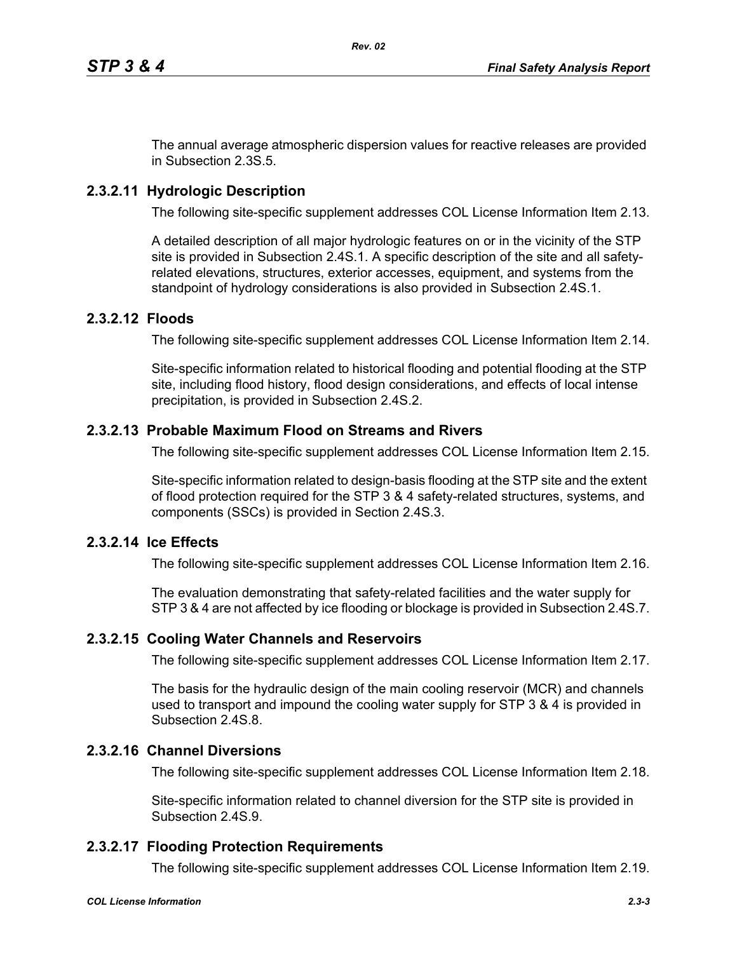The annual average atmospheric dispersion values for reactive releases are provided in Subsection 2.3S.5.

# **2.3.2.11 Hydrologic Description**

The following site-specific supplement addresses COL License Information Item 2.13.

A detailed description of all major hydrologic features on or in the vicinity of the STP site is provided in Subsection 2.4S.1. A specific description of the site and all safetyrelated elevations, structures, exterior accesses, equipment, and systems from the standpoint of hydrology considerations is also provided in Subsection 2.4S.1.

### **2.3.2.12 Floods**

The following site-specific supplement addresses COL License Information Item 2.14.

Site-specific information related to historical flooding and potential flooding at the STP site, including flood history, flood design considerations, and effects of local intense precipitation, is provided in Subsection 2.4S.2.

### **2.3.2.13 Probable Maximum Flood on Streams and Rivers**

The following site-specific supplement addresses COL License Information Item 2.15.

Site-specific information related to design-basis flooding at the STP site and the extent of flood protection required for the STP 3 & 4 safety-related structures, systems, and components (SSCs) is provided in Section 2.4S.3.

## **2.3.2.14 Ice Effects**

The following site-specific supplement addresses COL License Information Item 2.16.

The evaluation demonstrating that safety-related facilities and the water supply for STP 3 & 4 are not affected by ice flooding or blockage is provided in Subsection 2.4S.7.

#### **2.3.2.15 Cooling Water Channels and Reservoirs**

The following site-specific supplement addresses COL License Information Item 2.17.

The basis for the hydraulic design of the main cooling reservoir (MCR) and channels used to transport and impound the cooling water supply for STP 3 & 4 is provided in Subsection 2.4S.8.

## **2.3.2.16 Channel Diversions**

The following site-specific supplement addresses COL License Information Item 2.18.

Site-specific information related to channel diversion for the STP site is provided in Subsection 2.4S.9.

## **2.3.2.17 Flooding Protection Requirements**

The following site-specific supplement addresses COL License Information Item 2.19.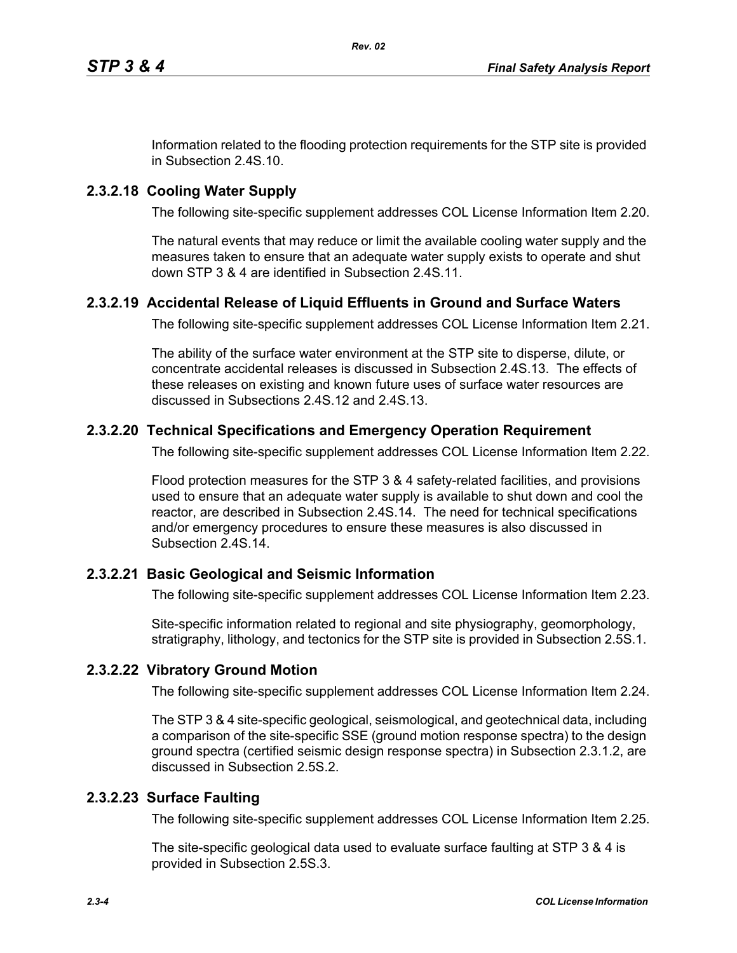Information related to the flooding protection requirements for the STP site is provided in Subsection 2.4S.10.

# **2.3.2.18 Cooling Water Supply**

The following site-specific supplement addresses COL License Information Item 2.20.

The natural events that may reduce or limit the available cooling water supply and the measures taken to ensure that an adequate water supply exists to operate and shut down STP 3 & 4 are identified in Subsection 2.4S.11.

# **2.3.2.19 Accidental Release of Liquid Effluents in Ground and Surface Waters**

The following site-specific supplement addresses COL License Information Item 2.21.

The ability of the surface water environment at the STP site to disperse, dilute, or concentrate accidental releases is discussed in Subsection 2.4S.13. The effects of these releases on existing and known future uses of surface water resources are discussed in Subsections 2.4S.12 and 2.4S.13.

# **2.3.2.20 Technical Specifications and Emergency Operation Requirement**

The following site-specific supplement addresses COL License Information Item 2.22.

Flood protection measures for the STP 3 & 4 safety-related facilities, and provisions used to ensure that an adequate water supply is available to shut down and cool the reactor, are described in Subsection 2.4S.14. The need for technical specifications and/or emergency procedures to ensure these measures is also discussed in Subsection 2.4S.14.

## **2.3.2.21 Basic Geological and Seismic Information**

The following site-specific supplement addresses COL License Information Item 2.23.

Site-specific information related to regional and site physiography, geomorphology, stratigraphy, lithology, and tectonics for the STP site is provided in Subsection 2.5S.1.

## **2.3.2.22 Vibratory Ground Motion**

The following site-specific supplement addresses COL License Information Item 2.24.

The STP 3 & 4 site-specific geological, seismological, and geotechnical data, including a comparison of the site-specific SSE (ground motion response spectra) to the design ground spectra (certified seismic design response spectra) in Subsection 2.3.1.2, are discussed in Subsection 2.5S.2.

## **2.3.2.23 Surface Faulting**

The following site-specific supplement addresses COL License Information Item 2.25.

The site-specific geological data used to evaluate surface faulting at STP 3 & 4 is provided in Subsection 2.5S.3.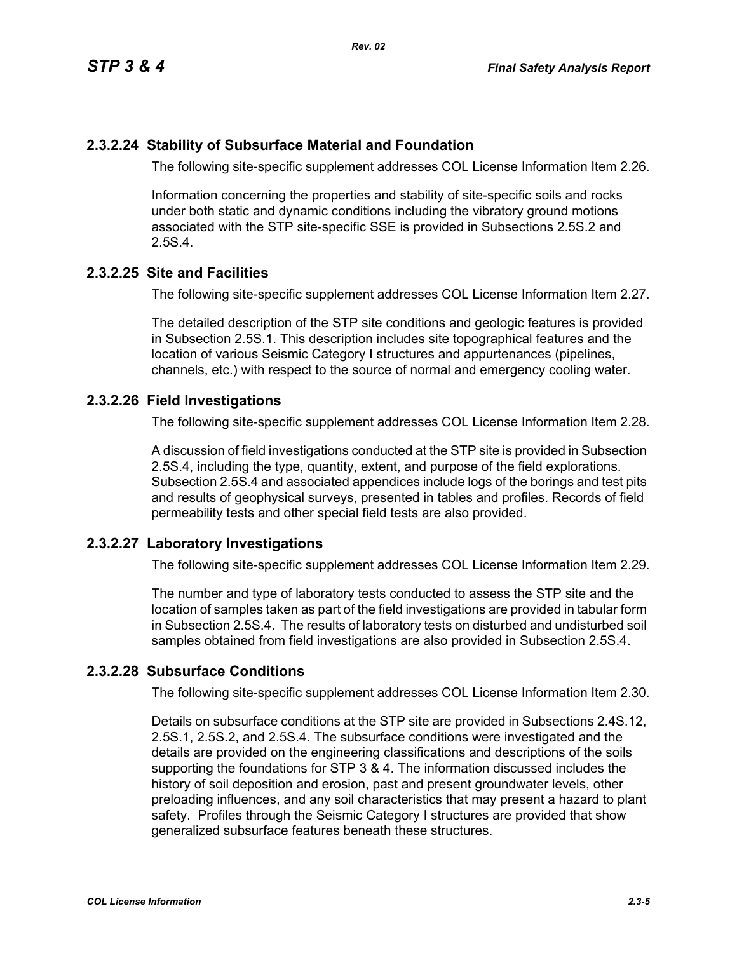## **2.3.2.24 Stability of Subsurface Material and Foundation**

The following site-specific supplement addresses COL License Information Item 2.26.

Information concerning the properties and stability of site-specific soils and rocks under both static and dynamic conditions including the vibratory ground motions associated with the STP site-specific SSE is provided in Subsections 2.5S.2 and 2.5S.4.

## **2.3.2.25 Site and Facilities**

The following site-specific supplement addresses COL License Information Item 2.27.

The detailed description of the STP site conditions and geologic features is provided in Subsection 2.5S.1. This description includes site topographical features and the location of various Seismic Category I structures and appurtenances (pipelines, channels, etc.) with respect to the source of normal and emergency cooling water.

## **2.3.2.26 Field Investigations**

The following site-specific supplement addresses COL License Information Item 2.28.

A discussion of field investigations conducted at the STP site is provided in Subsection 2.5S.4, including the type, quantity, extent, and purpose of the field explorations. Subsection 2.5S.4 and associated appendices include logs of the borings and test pits and results of geophysical surveys, presented in tables and profiles. Records of field permeability tests and other special field tests are also provided.

## **2.3.2.27 Laboratory Investigations**

The following site-specific supplement addresses COL License Information Item 2.29.

The number and type of laboratory tests conducted to assess the STP site and the location of samples taken as part of the field investigations are provided in tabular form in Subsection 2.5S.4. The results of laboratory tests on disturbed and undisturbed soil samples obtained from field investigations are also provided in Subsection 2.5S.4.

# **2.3.2.28 Subsurface Conditions**

The following site-specific supplement addresses COL License Information Item 2.30.

Details on subsurface conditions at the STP site are provided in Subsections 2.4S.12, 2.5S.1, 2.5S.2, and 2.5S.4. The subsurface conditions were investigated and the details are provided on the engineering classifications and descriptions of the soils supporting the foundations for STP 3 & 4. The information discussed includes the history of soil deposition and erosion, past and present groundwater levels, other preloading influences, and any soil characteristics that may present a hazard to plant safety. Profiles through the Seismic Category I structures are provided that show generalized subsurface features beneath these structures.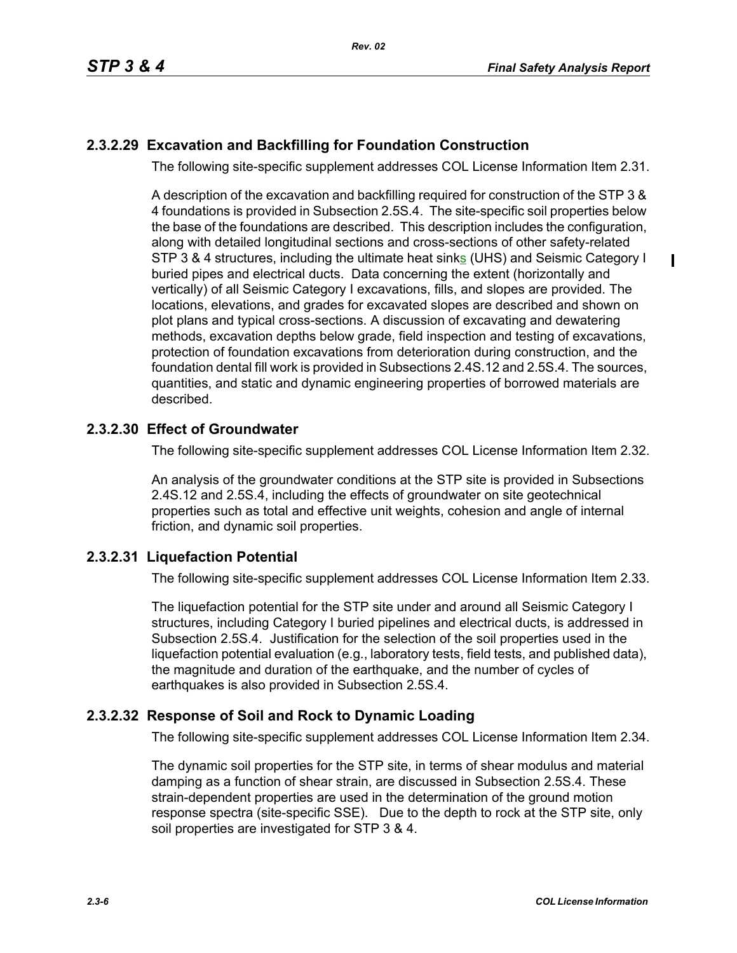П

# **2.3.2.29 Excavation and Backfilling for Foundation Construction**

The following site-specific supplement addresses COL License Information Item 2.31.

A description of the excavation and backfilling required for construction of the STP 3 & 4 foundations is provided in Subsection 2.5S.4. The site-specific soil properties below the base of the foundations are described. This description includes the configuration, along with detailed longitudinal sections and cross-sections of other safety-related STP 3 & 4 structures, including the ultimate heat sinks (UHS) and Seismic Category I buried pipes and electrical ducts. Data concerning the extent (horizontally and vertically) of all Seismic Category I excavations, fills, and slopes are provided. The locations, elevations, and grades for excavated slopes are described and shown on plot plans and typical cross-sections. A discussion of excavating and dewatering methods, excavation depths below grade, field inspection and testing of excavations, protection of foundation excavations from deterioration during construction, and the foundation dental fill work is provided in Subsections 2.4S.12 and 2.5S.4. The sources, quantities, and static and dynamic engineering properties of borrowed materials are described.

# **2.3.2.30 Effect of Groundwater**

The following site-specific supplement addresses COL License Information Item 2.32.

An analysis of the groundwater conditions at the STP site is provided in Subsections 2.4S.12 and 2.5S.4, including the effects of groundwater on site geotechnical properties such as total and effective unit weights, cohesion and angle of internal friction, and dynamic soil properties.

## **2.3.2.31 Liquefaction Potential**

The following site-specific supplement addresses COL License Information Item 2.33.

The liquefaction potential for the STP site under and around all Seismic Category I structures, including Category I buried pipelines and electrical ducts, is addressed in Subsection 2.5S.4. Justification for the selection of the soil properties used in the liquefaction potential evaluation (e.g., laboratory tests, field tests, and published data), the magnitude and duration of the earthquake, and the number of cycles of earthquakes is also provided in Subsection 2.5S.4.

# **2.3.2.32 Response of Soil and Rock to Dynamic Loading**

The following site-specific supplement addresses COL License Information Item 2.34.

The dynamic soil properties for the STP site, in terms of shear modulus and material damping as a function of shear strain, are discussed in Subsection 2.5S.4. These strain-dependent properties are used in the determination of the ground motion response spectra (site-specific SSE). Due to the depth to rock at the STP site, only soil properties are investigated for STP 3 & 4.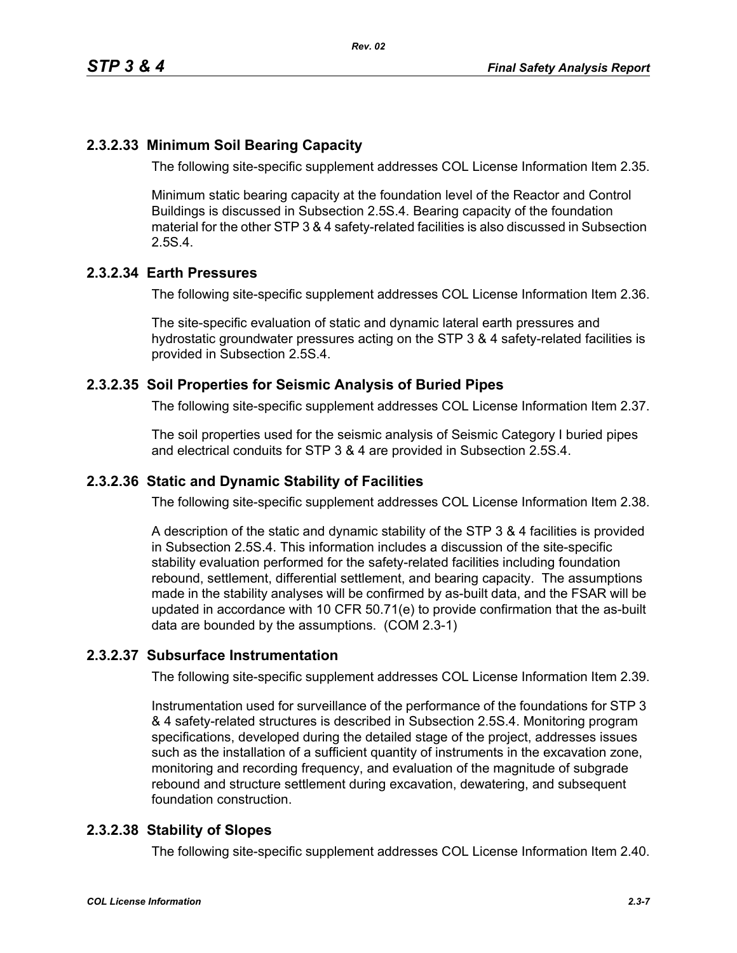# **2.3.2.33 Minimum Soil Bearing Capacity**

The following site-specific supplement addresses COL License Information Item 2.35.

Minimum static bearing capacity at the foundation level of the Reactor and Control Buildings is discussed in Subsection 2.5S.4. Bearing capacity of the foundation material for the other STP 3 & 4 safety-related facilities is also discussed in Subsection 2.5S.4.

### **2.3.2.34 Earth Pressures**

The following site-specific supplement addresses COL License Information Item 2.36.

The site-specific evaluation of static and dynamic lateral earth pressures and hydrostatic groundwater pressures acting on the STP 3 & 4 safety-related facilities is provided in Subsection 2.5S.4.

### **2.3.2.35 Soil Properties for Seismic Analysis of Buried Pipes**

The following site-specific supplement addresses COL License Information Item 2.37.

The soil properties used for the seismic analysis of Seismic Category I buried pipes and electrical conduits for STP 3 & 4 are provided in Subsection 2.5S.4.

### **2.3.2.36 Static and Dynamic Stability of Facilities**

The following site-specific supplement addresses COL License Information Item 2.38.

A description of the static and dynamic stability of the STP 3 & 4 facilities is provided in Subsection 2.5S.4. This information includes a discussion of the site-specific stability evaluation performed for the safety-related facilities including foundation rebound, settlement, differential settlement, and bearing capacity. The assumptions made in the stability analyses will be confirmed by as-built data, and the FSAR will be updated in accordance with 10 CFR 50.71(e) to provide confirmation that the as-built data are bounded by the assumptions. (COM 2.3-1)

#### **2.3.2.37 Subsurface Instrumentation**

The following site-specific supplement addresses COL License Information Item 2.39.

Instrumentation used for surveillance of the performance of the foundations for STP 3 & 4 safety-related structures is described in Subsection 2.5S.4. Monitoring program specifications, developed during the detailed stage of the project, addresses issues such as the installation of a sufficient quantity of instruments in the excavation zone, monitoring and recording frequency, and evaluation of the magnitude of subgrade rebound and structure settlement during excavation, dewatering, and subsequent foundation construction.

#### **2.3.2.38 Stability of Slopes**

The following site-specific supplement addresses COL License Information Item 2.40.